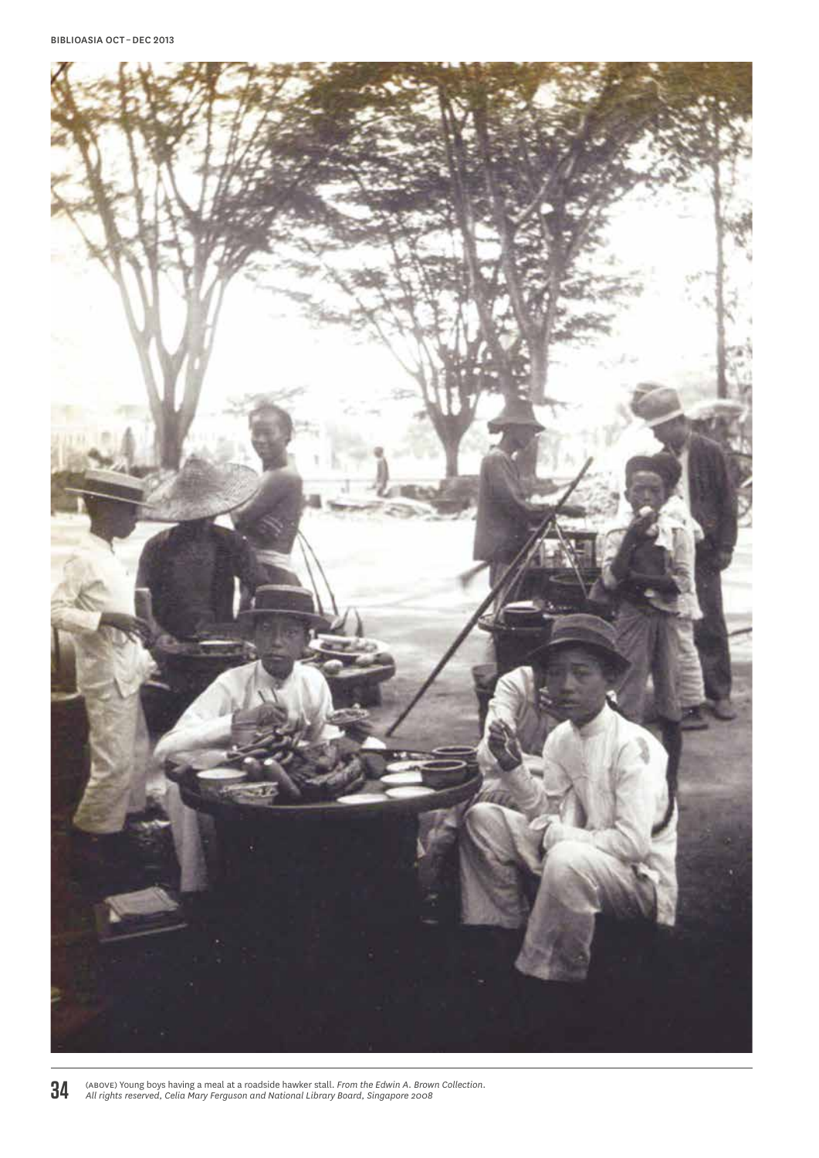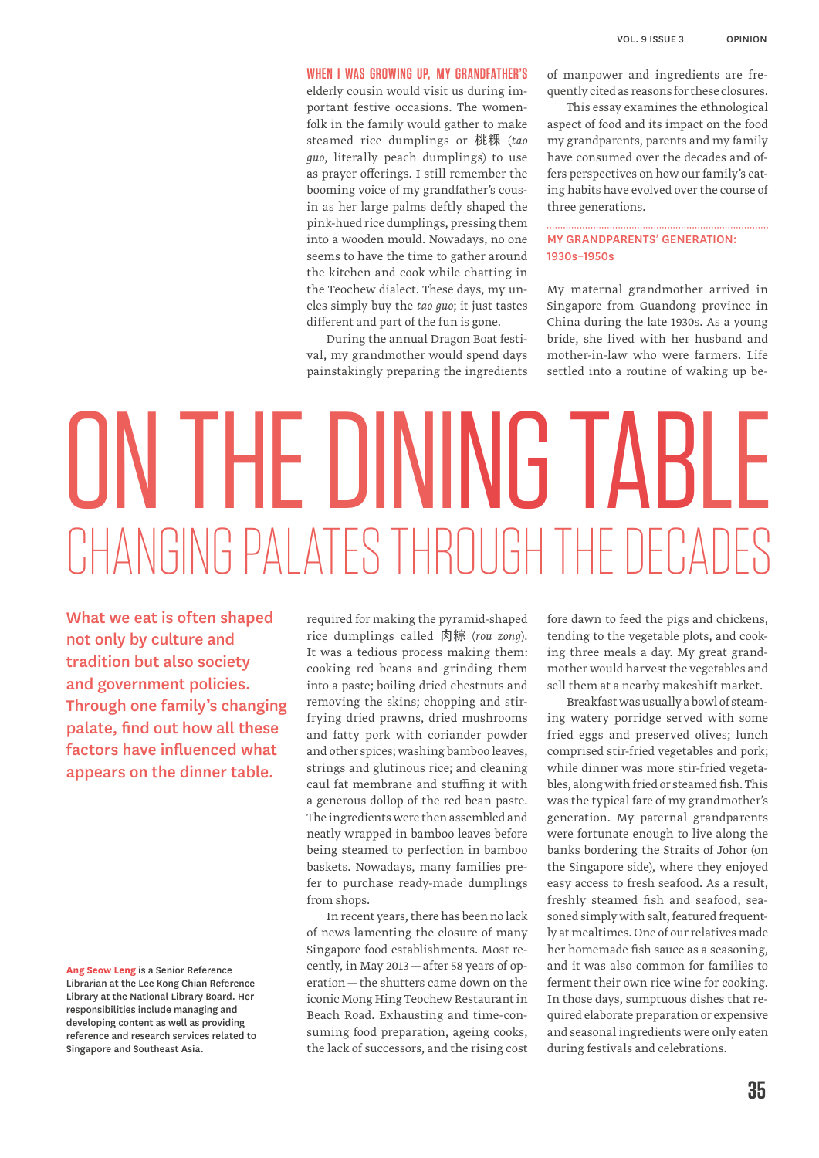#### **When I was growing up, my grandfather's**

elderly cousin would visit us during important festive occasions. The womenfolk in the family would gather to make steamed rice dumplings or 桃粿 (*tao guo*, literally peach dumplings) to use as prayer offerings. I still remember the booming voice of my grandfather's cousin as her large palms deftly shaped the pink-hued rice dumplings, pressing them into a wooden mould. Nowadays, no one seems to have the time to gather around the kitchen and cook while chatting in the Teochew dialect. These days, my uncles simply buy the *tao guo*; it just tastes different and part of the fun is gone.

During the annual Dragon Boat festival, my grandmother would spend days painstakingly preparing the ingredients of manpower and ingredients are frequently cited as reasons for these closures.

This essay examines the ethnological aspect of food and its impact on the food my grandparents, parents and my family have consumed over the decades and offers perspectives on how our family's eating habits have evolved over the course of three generations.

# My Grandparents' Generation: 1930s–1950s

My maternal grandmother arrived in Singapore from Guandong province in China during the late 1930s. As a young bride, she lived with her husband and mother-in-law who were farmers. Life settled into a routine of waking up be-

# ON THE DINING TABLE CHANGING PAI ATES THROUGH THE DECADE

What we eat is often shaped not only by culture and tradition but also society and government policies. Through one family's changing palate, find out how all these factors have influenced what appears on the dinner table.

**Ang Seow Leng** is a Senior Reference Librarian at the Lee Kong Chian Reference Library at the National Library Board. Her responsibilities include managing and developing content as well as providing reference and research services related to Singapore and Southeast Asia.

required for making the pyramid-shaped rice dumplings called 肉粽 (*rou zong*). It was a tedious process making them: cooking red beans and grinding them into a paste; boiling dried chestnuts and removing the skins; chopping and stirfrying dried prawns, dried mushrooms and fatty pork with coriander powder and other spices; washing bamboo leaves, strings and glutinous rice; and cleaning caul fat membrane and stuffing it with a generous dollop of the red bean paste. The ingredients were then assembled and neatly wrapped in bamboo leaves before being steamed to perfection in bamboo baskets. Nowadays, many families prefer to purchase ready-made dumplings from shops.

In recent years, there has been no lack of news lamenting the closure of many Singapore food establishments. Most recently, in May 2013—after 58 years of operation—the shutters came down on the iconic Mong Hing Teochew Restaurant in Beach Road. Exhausting and time-consuming food preparation, ageing cooks, the lack of successors, and the rising cost

fore dawn to feed the pigs and chickens, tending to the vegetable plots, and cooking three meals a day. My great grandmother would harvest the vegetables and sell them at a nearby makeshift market.

Breakfast was usually a bowl of steaming watery porridge served with some fried eggs and preserved olives; lunch comprised stir-fried vegetables and pork; while dinner was more stir-fried vegetables, along with fried or steamed fish. This was the typical fare of my grandmother's generation. My paternal grandparents were fortunate enough to live along the banks bordering the Straits of Johor (on the Singapore side), where they enjoyed easy access to fresh seafood. As a result, freshly steamed fish and seafood, seasoned simply with salt, featured frequently at mealtimes. One of our relatives made her homemade fish sauce as a seasoning, and it was also common for families to ferment their own rice wine for cooking. In those days, sumptuous dishes that required elaborate preparation or expensive and seasonal ingredients were only eaten during festivals and celebrations.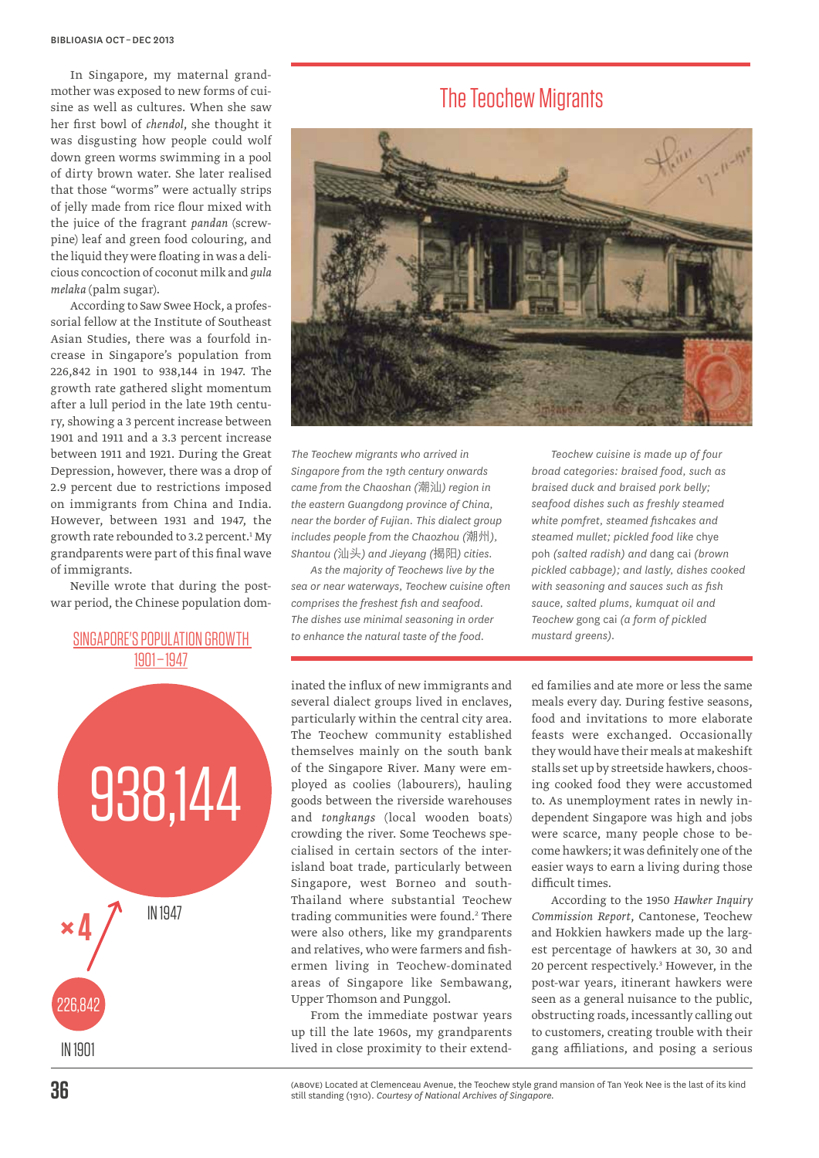In Singapore, my maternal grandmother was exposed to new forms of cuisine as well as cultures. When she saw her first bowl of *chendol*, she thought it was disgusting how people could wolf down green worms swimming in a pool of dirty brown water. She later realised that those "worms" were actually strips of jelly made from rice flour mixed with the juice of the fragrant *pandan* (screwpine) leaf and green food colouring, and the liquid they were floating in was a delicious concoction of coconut milk and *gula melaka* (palm sugar).

According to Saw Swee Hock, a professorial fellow at the Institute of Southeast Asian Studies, there was a fourfold increase in Singapore's population from 226,842 in 1901 to 938,144 in 1947. The growth rate gathered slight momentum after a lull period in the late 19th century, showing a 3 percent increase between 1901 and 1911 and a 3.3 percent increase between 1911 and 1921. During the Great Depression, however, there was a drop of 2.9 percent due to restrictions imposed on immigrants from China and India. However, between 1931 and 1947, the growth rate rebounded to 3.2 percent.<sup>1</sup> My grandparents were part of this final wave of immigrants.

Neville wrote that during the postwar period, the Chinese population dom-

# SINGAPORE'S POPULATION GROWTH 1901 – 1947



# The Teochew Migrants



*The Teochew migrants who arrived in Singapore from the 19th century onwards came from the Chaoshan (*潮汕*) region in the eastern Guangdong province of China, near the border of Fujian. This dialect group includes people from the Chaozhou (*潮州*), Shantou (*汕头*) and Jieyang (*揭阳*) cities.* 

*As the majority of Teochews live by the sea or near waterways, Teochew cuisine often comprises the freshest fish and seafood. The dishes use minimal seasoning in order to enhance the natural taste of the food.*

inated the influx of new immigrants and several dialect groups lived in enclaves, particularly within the central city area. The Teochew community established themselves mainly on the south bank of the Singapore River. Many were employed as coolies (labourers), hauling goods between the riverside warehouses and *tongkangs* (local wooden boats) crowding the river. Some Teochews specialised in certain sectors of the interisland boat trade, particularly between Singapore, west Borneo and south-Thailand where substantial Teochew trading communities were found.<sup>2</sup> There were also others, like my grandparents and relatives, who were farmers and fishermen living in Teochew-dominated areas of Singapore like Sembawang, Upper Thomson and Punggol.

From the immediate postwar years up till the late 1960s, my grandparents lived in close proximity to their extend-

*Teochew cuisine is made up of four broad categories: braised food, such as braised duck and braised pork belly; seafood dishes such as freshly steamed white pomfret, steamed fishcakes and steamed mullet; pickled food like* chye poh *(salted radish) and* dang cai *(brown pickled cabbage); and lastly, dishes cooked with seasoning and sauces such as fish sauce, salted plums, kumquat oil and Teochew* gong cai *(a form of pickled mustard greens).*

ed families and ate more or less the same meals every day. During festive seasons, food and invitations to more elaborate feasts were exchanged. Occasionally they would have their meals at makeshift stalls set up by streetside hawkers, choosing cooked food they were accustomed to. As unemployment rates in newly independent Singapore was high and jobs were scarce, many people chose to become hawkers; it was definitely one of the easier ways to earn a living during those difficult times.

According to the 1950 *Hawker Inquiry Commission Report*, Cantonese, Teochew and Hokkien hawkers made up the largest percentage of hawkers at 30, 30 and 20 percent respectively.<sup>3</sup> However, in the post-war years, itinerant hawkers were seen as a general nuisance to the public, obstructing roads, incessantly calling out to customers, creating trouble with their gang affiliations, and posing a serious

(above) Located at Clemenceau Avenue, the Teochew style grand mansion of Tan Yeok Nee is the last of its kind still standing (1910). *Courtesy of National Archives of Singapore.*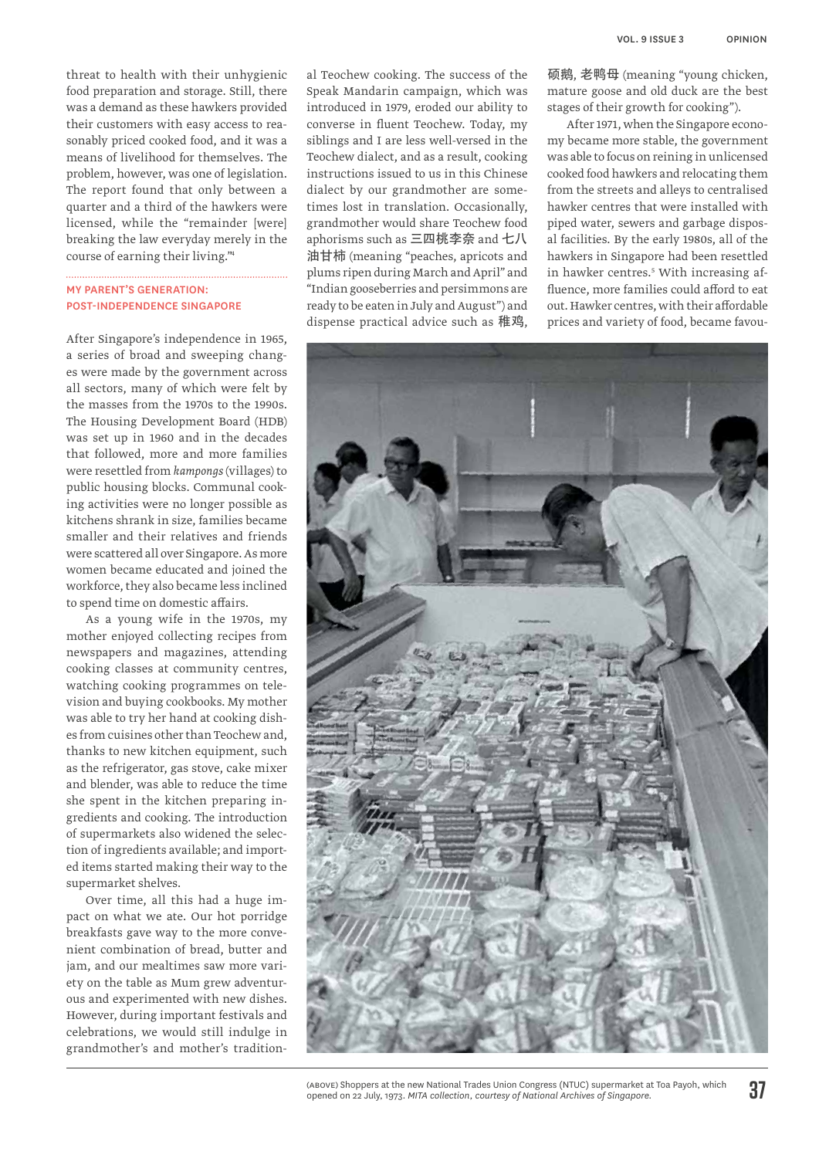threat to health with their unhygienic food preparation and storage. Still, there was a demand as these hawkers provided their customers with easy access to reasonably priced cooked food, and it was a means of livelihood for themselves. The problem, however, was one of legislation. The report found that only between a quarter and a third of the hawkers were licensed, while the "remainder [were] breaking the law everyday merely in the course of earning their living."4

# My Parent's Generation: Post-independence Singapore

After Singapore's independence in 1965, a series of broad and sweeping changes were made by the government across all sectors, many of which were felt by the masses from the 1970s to the 1990s. The Housing Development Board (HDB) was set up in 1960 and in the decades that followed, more and more families were resettled from *kampongs* (villages) to public housing blocks. Communal cooking activities were no longer possible as kitchens shrank in size, families became smaller and their relatives and friends were scattered all over Singapore. As more women became educated and joined the workforce, they also became less inclined to spend time on domestic affairs.

As a young wife in the 1970s, my mother enjoyed collecting recipes from newspapers and magazines, attending cooking classes at community centres, watching cooking programmes on television and buying cookbooks. My mother was able to try her hand at cooking dishes from cuisines other than Teochew and, thanks to new kitchen equipment, such as the refrigerator, gas stove, cake mixer and blender, was able to reduce the time she spent in the kitchen preparing ingredients and cooking. The introduction of supermarkets also widened the selection of ingredients available; and imported items started making their way to the supermarket shelves.

Over time, all this had a huge impact on what we ate. Our hot porridge breakfasts gave way to the more convenient combination of bread, butter and jam, and our mealtimes saw more variety on the table as Mum grew adventurous and experimented with new dishes. However, during important festivals and celebrations, we would still indulge in grandmother's and mother's traditional Teochew cooking. The success of the Speak Mandarin campaign, which was introduced in 1979, eroded our ability to converse in fluent Teochew. Today, my siblings and I are less well-versed in the Teochew dialect, and as a result, cooking instructions issued to us in this Chinese dialect by our grandmother are sometimes lost in translation. Occasionally, grandmother would share Teochew food aphorisms such as 三四桃李奈 and 七八 油甘柿 (meaning "peaches, apricots and plums ripen during March and April" and "Indian gooseberries and persimmons are ready to be eaten in July and August") and dispense practical advice such as 稚鸡,

硕鹅, 老鸭母 (meaning "young chicken, mature goose and old duck are the best stages of their growth for cooking").

After 1971, when the Singapore economy became more stable, the government was able to focus on reining in unlicensed cooked food hawkers and relocating them from the streets and alleys to centralised hawker centres that were installed with piped water, sewers and garbage disposal facilities. By the early 1980s, all of the hawkers in Singapore had been resettled in hawker centres.5 With increasing affluence, more families could afford to eat out. Hawker centres, with their affordable prices and variety of food, became favou-



<sup>(</sup>above) Shoppers at the new National Trades Union Congress (NTUC) supermarket at Toa Payoh, which opened on 22 July, 1973. *MITA collection, courtesy of National Archives of Singapore.*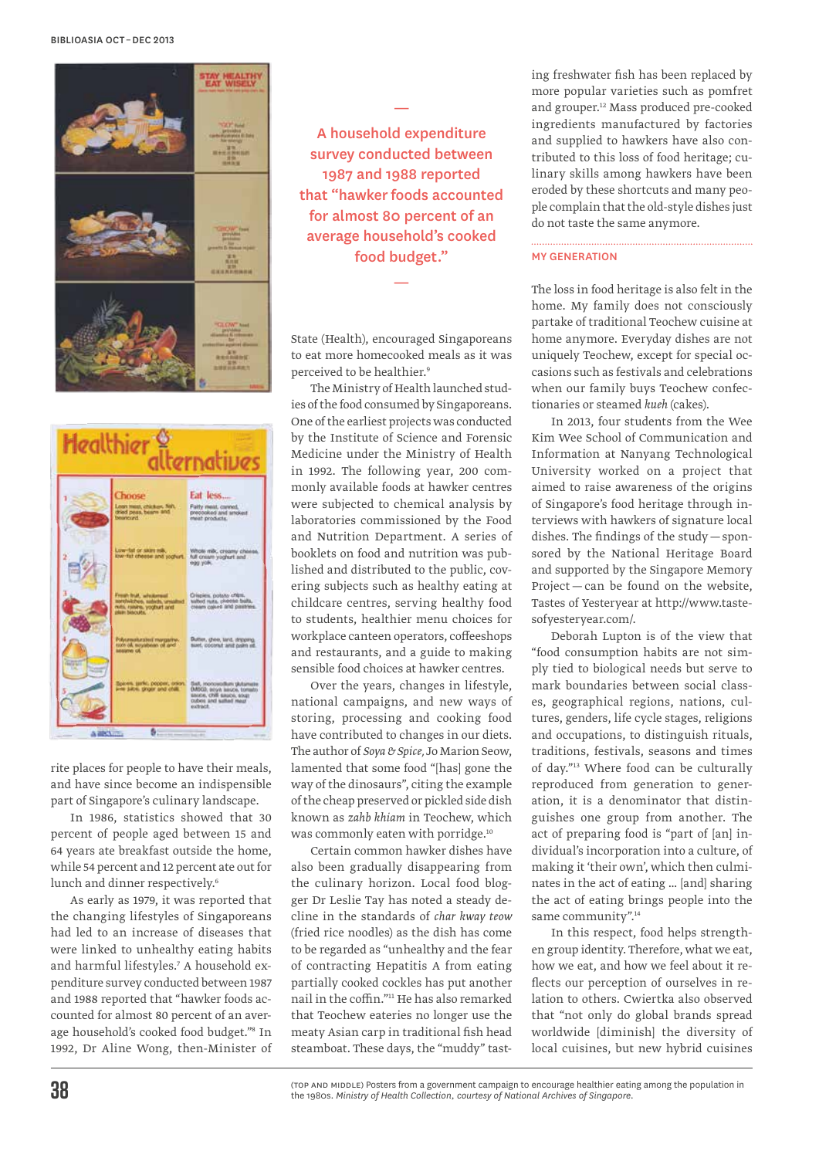



rite places for people to have their meals, and have since become an indispensible part of Singapore's culinary landscape.

In 1986, statistics showed that 30 percent of people aged between 15 and 64 years ate breakfast outside the home, while 54 percent and 12 percent ate out for lunch and dinner respectively.<sup>6</sup>

As early as 1979, it was reported that the changing lifestyles of Singaporeans had led to an increase of diseases that were linked to unhealthy eating habits and harmful lifestyles.7 A household expenditure survey conducted between 1987 and 1988 reported that "hawker foods accounted for almost 80 percent of an average household's cooked food budget."8 In 1992, Dr Aline Wong, then-Minister of

A household expenditure survey conducted between 1987 and 1988 reported that "hawker foods accounted for almost 80 percent of an average household's cooked food budget."

—

State (Health), encouraged Singaporeans to eat more homecooked meals as it was perceived to be healthier.<sup>9</sup>

—

The Ministry of Health launched studies of the food consumed by Singaporeans. One of the earliest projects was conducted by the Institute of Science and Forensic Medicine under the Ministry of Health in 1992. The following year, 200 commonly available foods at hawker centres were subjected to chemical analysis by laboratories commissioned by the Food and Nutrition Department. A series of booklets on food and nutrition was published and distributed to the public, covering subjects such as healthy eating at childcare centres, serving healthy food to students, healthier menu choices for workplace canteen operators, coffeeshops and restaurants, and a guide to making sensible food choices at hawker centres.

Over the years, changes in lifestyle, national campaigns, and new ways of storing, processing and cooking food have contributed to changes in our diets. The author of *Soya & Spice,* Jo Marion Seow, lamented that some food "[has] gone the way of the dinosaurs", citing the example of the cheap preserved or pickled side dish known as *zahb khiam* in Teochew, which was commonly eaten with porridge.<sup>10</sup>

Certain common hawker dishes have also been gradually disappearing from the culinary horizon. Local food blogger Dr Leslie Tay has noted a steady decline in the standards of *char kway teow* (fried rice noodles) as the dish has come to be regarded as "unhealthy and the fear of contracting Hepatitis A from eating partially cooked cockles has put another nail in the coffin."11 He has also remarked that Teochew eateries no longer use the meaty Asian carp in traditional fish head steamboat. These days, the "muddy" tasting freshwater fish has been replaced by more popular varieties such as pomfret and grouper.12 Mass produced pre-cooked ingredients manufactured by factories and supplied to hawkers have also contributed to this loss of food heritage; culinary skills among hawkers have been eroded by these shortcuts and many people complain that the old-style dishes just do not taste the same anymore.

#### My Generation

The loss in food heritage is also felt in the home. My family does not consciously partake of traditional Teochew cuisine at home anymore. Everyday dishes are not uniquely Teochew, except for special occasions such as festivals and celebrations when our family buys Teochew confectionaries or steamed *kueh* (cakes).

In 2013, four students from the Wee Kim Wee School of Communication and Information at Nanyang Technological University worked on a project that aimed to raise awareness of the origins of Singapore's food heritage through interviews with hawkers of signature local dishes. The findings of the study—sponsored by the National Heritage Board and supported by the Singapore Memory Project — can be found on the website, Tastes of Yesteryear at http://www.tastesofyesteryear.com/.

Deborah Lupton is of the view that "food consumption habits are not simply tied to biological needs but serve to mark boundaries between social classes, geographical regions, nations, cultures, genders, life cycle stages, religions and occupations, to distinguish rituals, traditions, festivals, seasons and times of day."13 Where food can be culturally reproduced from generation to generation, it is a denominator that distinguishes one group from another. The act of preparing food is "part of [an] individual's incorporation into a culture, of making it 'their own', which then culminates in the act of eating … [and] sharing the act of eating brings people into the same community".<sup>14</sup>

In this respect, food helps strengthen group identity. Therefore, what we eat, how we eat, and how we feel about it reflects our perception of ourselves in relation to others. Cwiertka also observed that "not only do global brands spread worldwide [diminish] the diversity of local cuisines, but new hybrid cuisines

(top and middle) Posters from a government campaign to encourage healthier eating among the population in the 1980s. *Ministry of Health Collection, courtesy of National Archives of Singapore.*